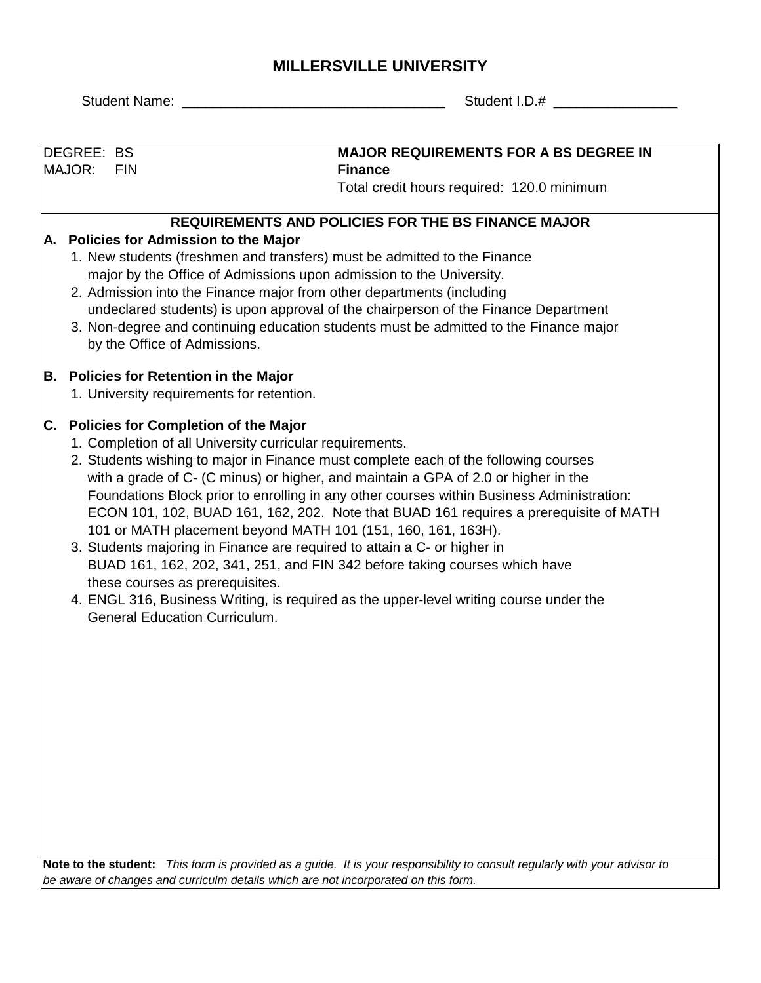## **MILLERSVILLE UNIVERSITY**

|                                                                                                                                                                                                                                                                                                                                                                                                                                                                                                                                                                                                                                                                                                                                                                                                                                                                       |                                                                                    | <b>Student Name:</b> | Student I.D.# __                                                                                                                                                                                                                                                                                                                                                                                                                                                                  |  |  |  |  |  |  |
|-----------------------------------------------------------------------------------------------------------------------------------------------------------------------------------------------------------------------------------------------------------------------------------------------------------------------------------------------------------------------------------------------------------------------------------------------------------------------------------------------------------------------------------------------------------------------------------------------------------------------------------------------------------------------------------------------------------------------------------------------------------------------------------------------------------------------------------------------------------------------|------------------------------------------------------------------------------------|----------------------|-----------------------------------------------------------------------------------------------------------------------------------------------------------------------------------------------------------------------------------------------------------------------------------------------------------------------------------------------------------------------------------------------------------------------------------------------------------------------------------|--|--|--|--|--|--|
|                                                                                                                                                                                                                                                                                                                                                                                                                                                                                                                                                                                                                                                                                                                                                                                                                                                                       |                                                                                    |                      |                                                                                                                                                                                                                                                                                                                                                                                                                                                                                   |  |  |  |  |  |  |
|                                                                                                                                                                                                                                                                                                                                                                                                                                                                                                                                                                                                                                                                                                                                                                                                                                                                       | DEGREE: BS<br>MAJOR:                                                               | <b>FIN</b>           | <b>MAJOR REQUIREMENTS FOR A BS DEGREE IN</b><br><b>Finance</b><br>Total credit hours required: 120.0 minimum                                                                                                                                                                                                                                                                                                                                                                      |  |  |  |  |  |  |
|                                                                                                                                                                                                                                                                                                                                                                                                                                                                                                                                                                                                                                                                                                                                                                                                                                                                       |                                                                                    |                      | <b>REQUIREMENTS AND POLICIES FOR THE BS FINANCE MAJOR</b>                                                                                                                                                                                                                                                                                                                                                                                                                         |  |  |  |  |  |  |
|                                                                                                                                                                                                                                                                                                                                                                                                                                                                                                                                                                                                                                                                                                                                                                                                                                                                       |                                                                                    |                      | A. Policies for Admission to the Major<br>1. New students (freshmen and transfers) must be admitted to the Finance<br>major by the Office of Admissions upon admission to the University.<br>2. Admission into the Finance major from other departments (including<br>undeclared students) is upon approval of the chairperson of the Finance Department<br>3. Non-degree and continuing education students must be admitted to the Finance major<br>by the Office of Admissions. |  |  |  |  |  |  |
|                                                                                                                                                                                                                                                                                                                                                                                                                                                                                                                                                                                                                                                                                                                                                                                                                                                                       |                                                                                    |                      | <b>B. Policies for Retention in the Major</b><br>1. University requirements for retention.                                                                                                                                                                                                                                                                                                                                                                                        |  |  |  |  |  |  |
| C. Policies for Completion of the Major<br>1. Completion of all University curricular requirements.<br>2. Students wishing to major in Finance must complete each of the following courses<br>with a grade of C- (C minus) or higher, and maintain a GPA of 2.0 or higher in the<br>Foundations Block prior to enrolling in any other courses within Business Administration:<br>ECON 101, 102, BUAD 161, 162, 202. Note that BUAD 161 requires a prerequisite of MATH<br>101 or MATH placement beyond MATH 101 (151, 160, 161, 163H).<br>3. Students majoring in Finance are required to attain a C- or higher in<br>BUAD 161, 162, 202, 341, 251, and FIN 342 before taking courses which have<br>these courses as prerequisites.<br>4. ENGL 316, Business Writing, is required as the upper-level writing course under the<br><b>General Education Curriculum.</b> |                                                                                    |                      |                                                                                                                                                                                                                                                                                                                                                                                                                                                                                   |  |  |  |  |  |  |
|                                                                                                                                                                                                                                                                                                                                                                                                                                                                                                                                                                                                                                                                                                                                                                                                                                                                       |                                                                                    | Note to the student: | This form is provided as a guide. It is your responsibility to consult regularly with your advisor to                                                                                                                                                                                                                                                                                                                                                                             |  |  |  |  |  |  |
|                                                                                                                                                                                                                                                                                                                                                                                                                                                                                                                                                                                                                                                                                                                                                                                                                                                                       | be aware of changes and curriculm details which are not incorporated on this form. |                      |                                                                                                                                                                                                                                                                                                                                                                                                                                                                                   |  |  |  |  |  |  |